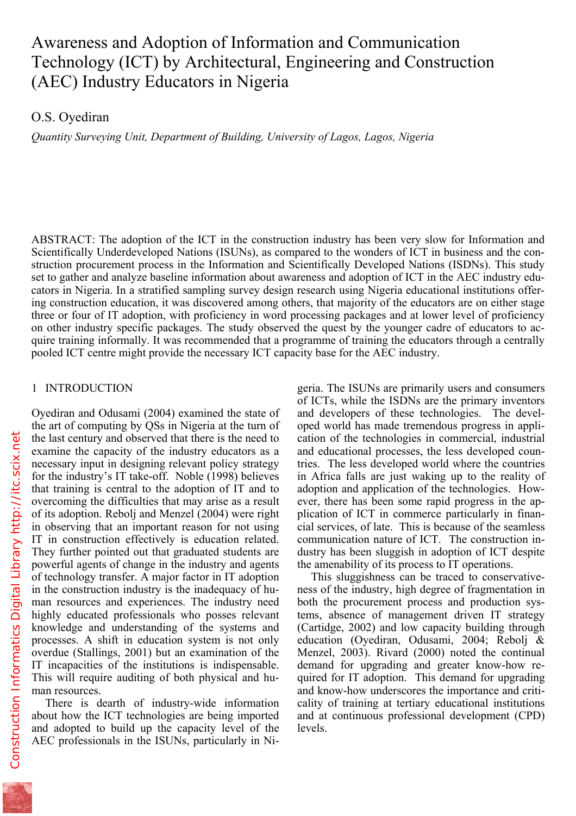# Awareness and Adoption of Information and Communication Technology (ICT) by Architectural, Engineering and Construction (AEC) Industry Educators in Nigeria

O.S. Oyediran

*Quantity Surveying Unit, Department of Building, University of Lagos, Lagos, Nigeria* 

ABSTRACT: The adoption of the ICT in the construction industry has been very slow for Information and Scientifically Underdeveloped Nations (ISUNs), as compared to the wonders of ICT in business and the construction procurement process in the Information and Scientifically Developed Nations (ISDNs). This study set to gather and analyze baseline information about awareness and adoption of ICT in the AEC industry educators in Nigeria. In a stratified sampling survey design research using Nigeria educational institutions offering construction education, it was discovered among others, that majority of the educators are on either stage three or four of IT adoption, with proficiency in word processing packages and at lower level of proficiency on other industry specific packages. The study observed the quest by the younger cadre of educators to acquire training informally. It was recommended that a programme of training the educators through a centrally pooled ICT centre might provide the necessary ICT capacity base for the AEC industry.

# 1 INTRODUCTION

Oyediran and Odusami (2004) examined the state of the art of computing by QSs in Nigeria at the turn of the last century and observed that there is the need to examine the capacity of the industry educators as a necessary input in designing relevant policy strategy for the industry's IT take-off. Noble (1998) believes that training is central to the adoption of IT and to overcoming the difficulties that may arise as a result of its adoption. Rebolj and Menzel (2004) were right in observing that an important reason for not using IT in construction effectively is education related. They further pointed out that graduated students are powerful agents of change in the industry and agents of technology transfer. A major factor in IT adoption in the construction industry is the inadequacy of human resources and experiences. The industry need highly educated professionals who posses relevant knowledge and understanding of the systems and processes. A shift in education system is not only overdue (Stallings, 2001) but an examination of the IT incapacities of the institutions is indispensable. This will require auditing of both physical and human resources.

There is dearth of industry-wide information about how the ICT technologies are being imported and adopted to build up the capacity level of the AEC professionals in the ISUNs, particularly in Nigeria. The ISUNs are primarily users and consumers of ICTs, while the ISDNs are the primary inventors and developers of these technologies. The developed world has made tremendous progress in application of the technologies in commercial, industrial and educational processes, the less developed countries. The less developed world where the countries in Africa falls are just waking up to the reality of adoption and application of the technologies. However, there has been some rapid progress in the application of ICT in commerce particularly in financial services, of late. This is because of the seamless communication nature of ICT. The construction industry has been sluggish in adoption of ICT despite the amenability of its process to IT operations.

This sluggishness can be traced to conservativeness of the industry, high degree of fragmentation in both the procurement process and production systems, absence of management driven IT strategy (Cartidge, 2002) and low capacity building through education (Oyediran, Odusami, 2004; Rebolj & Menzel, 2003). Rivard (2000) noted the continual demand for upgrading and greater know-how required for IT adoption. This demand for upgrading and know-how underscores the importance and criticality of training at tertiary educational institutions and at continuous professional development (CPD) levels.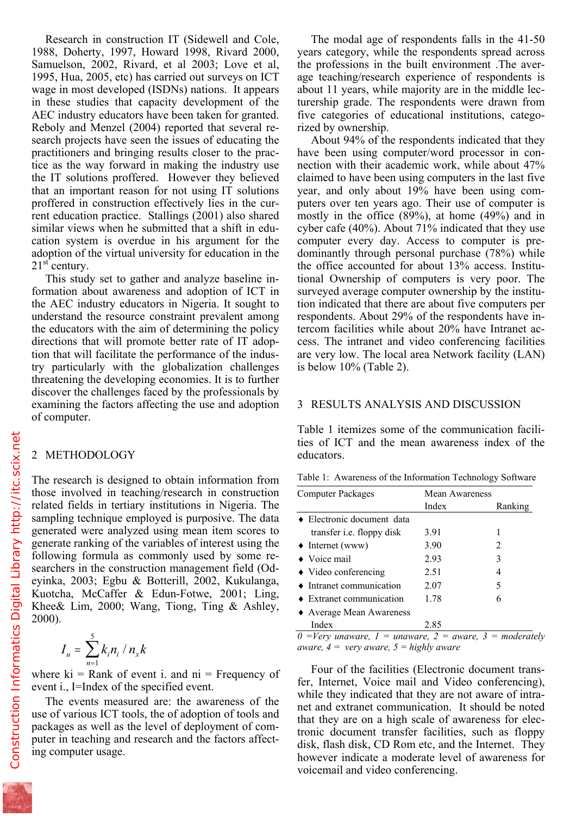1988, Doherty, 1997, Howard 1998, Rivard 2000, Samuelson, 2002, Rivard, et al 2003; Love et al, 1995, Hua, 2005, etc) has carried out surveys on ICT wage in most developed (ISDNs) nations. It appears in these studies that capacity development of the AEC industry educators have been taken for granted. Reboly and Menzel (2004) reported that several research projects have seen the issues of educating the practitioners and bringing results closer to the practice as the way forward in making the industry use the IT solutions proffered. However they believed that an important reason for not using IT solutions proffered in construction effectively lies in the current education practice. Stallings (2001) also shared similar views when he submitted that a shift in education system is overdue in his argument for the adoption of the virtual university for education in the  $21<sup>st</sup>$  century.

This study set to gather and analyze baseline information about awareness and adoption of ICT in the AEC industry educators in Nigeria. It sought to understand the resource constraint prevalent among the educators with the aim of determining the policy directions that will promote better rate of IT adoption that will facilitate the performance of the industry particularly with the globalization challenges threatening the developing economies. It is to further discover the challenges faced by the professionals by examining the factors affecting the use and adoption of computer.

# 2 METHODOLOGY

The research is designed to obtain information from those involved in teaching/research in construction related fields in tertiary institutions in Nigeria. The sampling technique employed is purposive. The data generated were analyzed using mean item scores to generate ranking of the variables of interest using the following formula as commonly used by some researchers in the construction management field (Odeyinka, 2003; Egbu & Botterill, 2002, Kukulanga, Kuotcha, McCaffer & Edun-Fotwe, 2001; Ling, Khee& Lim, 2000; Wang, Tiong, Ting & Ashley, 2000).

$$
I_u = \sum_{n=1}^{5} k_i n_i / n_x k
$$

where  $ki = Rank$  of event i. and  $ni = Frequency$  of event i., I=Index of the specified event.

The events measured are: the awareness of the use of various ICT tools, the of adoption of tools and packages as well as the level of deployment of computer in teaching and research and the factors affecting computer usage.

years category, while the respondents spread across the professions in the built environment .The average teaching/research experience of respondents is about 11 years, while majority are in the middle lecturership grade. The respondents were drawn from five categories of educational institutions, categorized by ownership.

About 94% of the respondents indicated that they have been using computer/word processor in connection with their academic work, while about 47% claimed to have been using computers in the last five year, and only about 19% have been using computers over ten years ago. Their use of computer is mostly in the office (89%), at home (49%) and in cyber cafe (40%). About 71% indicated that they use computer every day. Access to computer is predominantly through personal purchase (78%) while the office accounted for about 13% access. Institutional Ownership of computers is very poor. The surveyed average computer ownership by the institution indicated that there are about five computers per respondents. About 29% of the respondents have intercom facilities while about 20% have Intranet access. The intranet and video conferencing facilities are very low. The local area Network facility (LAN) is below 10% (Table 2).

### 3 RESULTS ANALYSIS AND DISCUSSION

Table 1 itemizes some of the communication facilities of ICT and the mean awareness index of the educators.

Table 1: Awareness of the Information Technology Software

| <b>Computer Packages</b>           | Mean Awareness |                             |
|------------------------------------|----------------|-----------------------------|
|                                    | Index          | Ranking                     |
| $\bullet$ Electronic document data |                |                             |
| transfer <i>i.e.</i> floppy disk   | 3.91           |                             |
| $\blacklozenge$ Internet (www)     | 3.90           | $\mathcal{D}_{\mathcal{L}}$ |
| $\bullet$ Voice mail               | 293            | 3                           |
| $\blacklozenge$ Video conferencing | 2.51           | 4                           |
| $\bullet$ Intranet communication   | 2.07           | 5                           |
| $\bullet$ Extranet communication   | 178            | 6                           |
| • Average Mean Awareness           |                |                             |
| Index                              | 2.85           |                             |

*0 =Very unaware, 1 = unaware, 2 = aware, 3 = moderately aware, 4 = very aware, 5 = highly aware* 

Four of the facilities (Electronic document transfer, Internet, Voice mail and Video conferencing), while they indicated that they are not aware of intranet and extranet communication. It should be noted that they are on a high scale of awareness for electronic document transfer facilities, such as floppy disk, flash disk, CD Rom etc, and the Internet. They however indicate a moderate level of awareness for voicemail and video conferencing.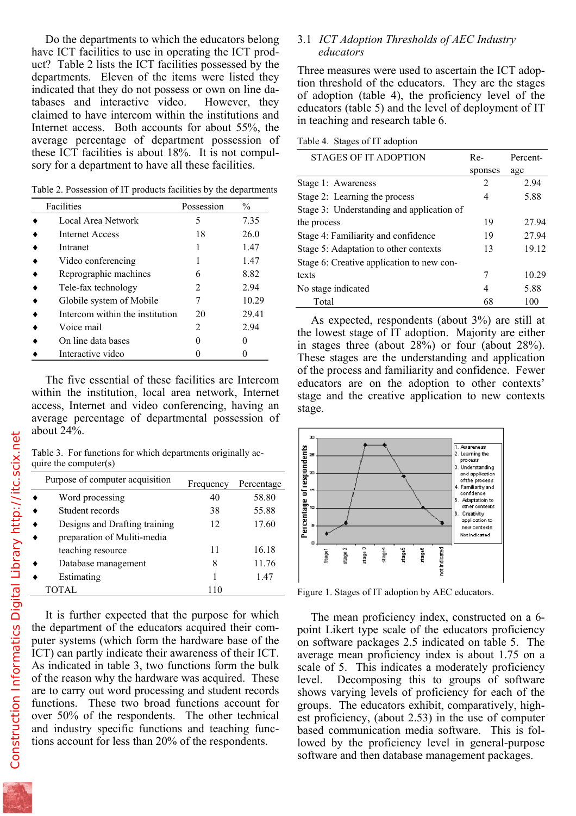have ICT facilities to use in operating the ICT product? Table 2 lists the ICT facilities possessed by the departments. Eleven of the items were listed they indicated that they do not possess or own on line databases and interactive video. However, they claimed to have intercom within the institutions and Internet access. Both accounts for about 55%, the average percentage of department possession of these ICT facilities is about 18%. It is not compulsory for a department to have all these facilities.

Table 2. Possession of IT products facilities by the departments

| Facilities                      | Possession     | $\frac{0}{0}$ |
|---------------------------------|----------------|---------------|
| Local Area Network              | 5              | 7.35          |
| <b>Internet Access</b>          | 18             | 26.0          |
| Intranet                        |                | 1.47          |
| Video conferencing              |                | 1.47          |
| Reprographic machines           | 6              | 8.82          |
| Tele-fax technology             | 2              | 2.94          |
| Globile system of Mobile        | 7              | 10.29         |
| Intercom within the institution | 20             | 29.41         |
| Voice mail                      | $\mathfrak{D}$ | 2.94          |
| On line data bases              |                |               |
| Interactive video               |                |               |

The five essential of these facilities are Intercom within the institution, local area network, Internet access, Internet and video conferencing, having an average percentage of departmental possession of about 24%.

Table 3. For functions for which departments originally acquire the computer(s)

| Purpose of computer acquisition | Frequency | Percentage |
|---------------------------------|-----------|------------|
| Word processing                 | 40        | 58.80      |
| Student records                 | 38        | 55.88      |
| Designs and Drafting training   | 12        | 17.60      |
| preparation of Muliti-media     |           |            |
| teaching resource               | 11        | 16.18      |
| Database management             | 8         | 11.76      |
| Estimating                      |           | 1.47       |
| TOTAL.                          | 110       |            |

It is further expected that the purpose for which the department of the educators acquired their computer systems (which form the hardware base of the ICT) can partly indicate their awareness of their ICT. As indicated in table 3, two functions form the bulk of the reason why the hardware was acquired. These are to carry out word processing and student records functions. These two broad functions account for over 50% of the respondents. The other technical and industry specific functions and teaching functions account for less than 20% of the respondents.

#### *educators*

Three measures were used to ascertain the ICT adoption threshold of the educators. They are the stages of adoption (table 4), the proficiency level of the educators (table 5) and the level of deployment of IT in teaching and research table 6.

Table 4. Stages of IT adoption

| <b>STAGES OF IT ADOPTION</b>              | Re-     | Percent- |
|-------------------------------------------|---------|----------|
|                                           | sponses | age      |
| Stage 1: Awareness                        | 2       | 2.94     |
| Stage 2: Learning the process             | 4       | 5.88     |
| Stage 3: Understanding and application of |         |          |
| the process                               | 19      | 2794     |
| Stage 4: Familiarity and confidence       | 19      | 27 94    |
| Stage 5: Adaptation to other contexts     | 13      | 19.12    |
| Stage 6: Creative application to new con- |         |          |
| texts                                     | 7       | 10.29    |
| No stage indicated                        | 4       | 5.88     |
| Total                                     | 68      | 100      |

As expected, respondents (about 3%) are still at the lowest stage of IT adoption. Majority are either in stages three (about 28%) or four (about 28%). These stages are the understanding and application of the process and familiarity and confidence. Fewer educators are on the adoption to other contexts' stage and the creative application to new contexts stage.



Figure 1. Stages of IT adoption by AEC educators.

The mean proficiency index, constructed on a 6 point Likert type scale of the educators proficiency on software packages 2.5 indicated on table 5. The average mean proficiency index is about 1.75 on a scale of 5. This indicates a moderately proficiency level. Decomposing this to groups of software shows varying levels of proficiency for each of the groups. The educators exhibit, comparatively, highest proficiency, (about 2.53) in the use of computer based communication media software. This is followed by the proficiency level in general-purpose software and then database management packages.

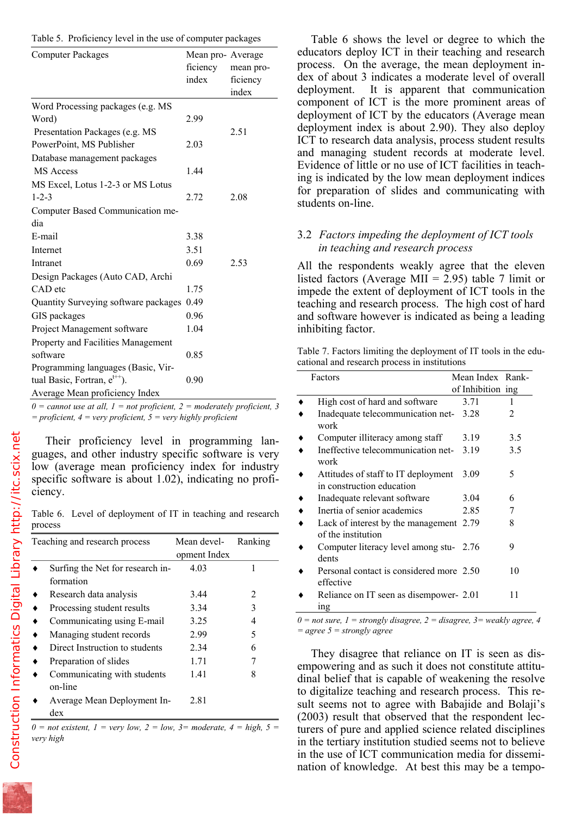| <b>Computer Packages</b>             | Mean pro-Average<br>ficiency | mean pro- |  |
|--------------------------------------|------------------------------|-----------|--|
|                                      |                              |           |  |
|                                      | index                        | ficiency  |  |
|                                      |                              | index     |  |
| Word Processing packages (e.g. MS)   |                              |           |  |
| Word)                                | 2.99                         |           |  |
| Presentation Packages (e.g. MS       |                              | 2.51      |  |
| PowerPoint, MS Publisher             | 2.03                         |           |  |
| Database management packages         |                              |           |  |
| MS Access                            | 1.44                         |           |  |
| MS Excel, Lotus 1-2-3 or MS Lotus    |                              |           |  |
| $1 - 2 - 3$                          | 2.72                         | 2.08      |  |
| Computer Based Communication me-     |                              |           |  |
| dia                                  |                              |           |  |
| E-mail                               | 3.38                         |           |  |
| Internet                             | 3.51                         |           |  |
| Intranet                             | 0.69                         | 2.53      |  |
| Design Packages (Auto CAD, Archi     |                              |           |  |
| CAD etc                              | 1.75                         |           |  |
| Quantity Surveying software packages | 0.49                         |           |  |
| GIS packages                         | 0.96                         |           |  |
| Project Management software          | 1.04                         |           |  |
| Property and Facilities Management   |                              |           |  |
| software                             | 0.85                         |           |  |
| Programming languages (Basic, Vir-   |                              |           |  |
| tual Basic, Fortran, $e^{t+1}$ ).    | 0.90                         |           |  |
| Average Mean proficiency Index       |                              |           |  |

 $0 =$  cannot use at all,  $1 =$  not proficient,  $2 =$  moderately proficient, 3 *= proficient, 4 = very proficient, 5 = very highly proficient* 

Their proficiency level in programming languages, and other industry specific software is very low (average mean proficiency index for industry specific software is about 1.02), indicating no proficiency.

Table 6. Level of deployment of IT in teaching and research process

| Teaching and research process          | Mean devel-  | Ranking |
|----------------------------------------|--------------|---------|
|                                        | opment Index |         |
| Surfing the Net for research in-       | 4.03         | 1       |
| formation                              |              |         |
| Research data analysis                 | 3.44         | 2       |
| Processing student results             | 3.34         | 3       |
| Communicating using E-mail             | 3.25         | 4       |
| Managing student records               | 2.99         | 5       |
| Direct Instruction to students         | 2.34         | 6       |
| Preparation of slides                  | 1.71         |         |
| Communicating with students<br>on-line | 1.41         | 8       |
| Average Mean Deployment In-<br>dex     | 2.81         |         |

 $0 = not$  existent,  $1 = very$  low,  $2 = low$ ,  $3 = moderate$ ,  $4 = high$ ,  $5 =$ *very high* 

educators deploy ICT in their teaching and research process. On the average, the mean deployment index of about 3 indicates a moderate level of overall deployment. It is apparent that communication component of ICT is the more prominent areas of deployment of ICT by the educators (Average mean deployment index is about 2.90). They also deploy ICT to research data analysis, process student results and managing student records at moderate level. Evidence of little or no use of ICT facilities in teaching is indicated by the low mean deployment indices for preparation of slides and communicating with students on-line.

# 3.2 *Factors impeding the deployment of ICT tools in teaching and research process*

All the respondents weakly agree that the eleven listed factors (Average MII = 2.95) table 7 limit or impede the extent of deployment of ICT tools in the teaching and research process. The high cost of hard and software however is indicated as being a leading inhibiting factor.

Table 7. Factors limiting the deployment of IT tools in the educational and research process in institutions

|                                                                  | Mean Index Rank-  |     |
|------------------------------------------------------------------|-------------------|-----|
| Factors                                                          |                   |     |
|                                                                  | of Inhibition ing |     |
| High cost of hard and software                                   | 3.71              | 1   |
| Inadequate telecommunication net-                                | 3.28              | 2   |
| work                                                             |                   |     |
| Computer illiteracy among staff                                  | 3.19              | 3.5 |
| Ineffective telecommunication net-<br>work                       | 3.19              | 3.5 |
| Attitudes of staff to IT deployment<br>in construction education | 3.09              | 5   |
| Inadequate relevant software                                     | 3.04              | 6   |
| Inertia of senior academics                                      | 2.85              | 7   |
| Lack of interest by the management<br>of the institution         | 2.79              | 8   |
| Computer literacy level among stu-<br>dents                      | 2.76              | 9   |
| Personal contact is considered more 2.50<br>effective            |                   | 10  |
| Reliance on IT seen as disempower- 2.01<br><sub>1</sub> ng       |                   | 11  |

 $0 = not sure, 1 = strongly disagree, 2 = disagree, 3 = weakly agree, 4$ *= agree 5 = strongly agree* 

They disagree that reliance on IT is seen as disempowering and as such it does not constitute attitudinal belief that is capable of weakening the resolve to digitalize teaching and research process. This result seems not to agree with Babajide and Bolaji's (2003) result that observed that the respondent lecturers of pure and applied science related disciplines in the tertiary institution studied seems not to believe in the use of ICT communication media for dissemination of knowledge. At best this may be a tempo-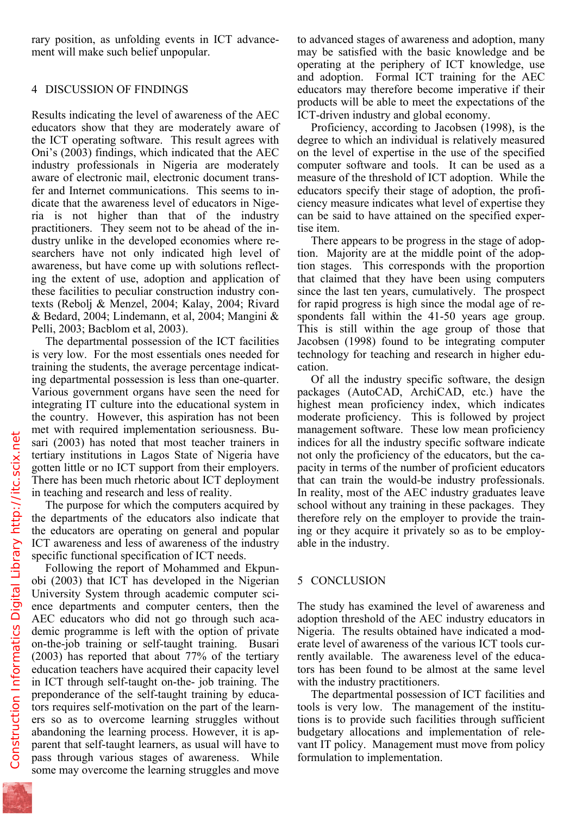ment will make such belief unpopular.

# 4 DISCUSSION OF FINDINGS

Results indicating the level of awareness of the AEC educators show that they are moderately aware of the ICT operating software. This result agrees with Oni's (2003) findings, which indicated that the AEC industry professionals in Nigeria are moderately aware of electronic mail, electronic document transfer and Internet communications. This seems to indicate that the awareness level of educators in Nigeria is not higher than that of the industry practitioners. They seem not to be ahead of the industry unlike in the developed economies where researchers have not only indicated high level of awareness, but have come up with solutions reflecting the extent of use, adoption and application of these facilities to peculiar construction industry contexts (Rebolj & Menzel, 2004; Kalay, 2004; Rivard & Bedard, 2004; Lindemann, et al, 2004; Mangini & Pelli, 2003; Bacblom et al, 2003).

The departmental possession of the ICT facilities is very low. For the most essentials ones needed for training the students, the average percentage indicating departmental possession is less than one-quarter. Various government organs have seen the need for integrating IT culture into the educational system in the country. However, this aspiration has not been met with required implementation seriousness. Busari (2003) has noted that most teacher trainers in tertiary institutions in Lagos State of Nigeria have gotten little or no ICT support from their employers. There has been much rhetoric about ICT deployment in teaching and research and less of reality.

The purpose for which the computers acquired by the departments of the educators also indicate that the educators are operating on general and popular ICT awareness and less of awareness of the industry specific functional specification of ICT needs.

Following the report of Mohammed and Ekpunobi (2003) that ICT has developed in the Nigerian University System through academic computer science departments and computer centers, then the AEC educators who did not go through such academic programme is left with the option of private on-the-job training or self-taught training. Busari (2003) has reported that about 77% of the tertiary education teachers have acquired their capacity level in ICT through self-taught on-the- job training. The preponderance of the self-taught training by educators requires self-motivation on the part of the learners so as to overcome learning struggles without abandoning the learning process. However, it is apparent that self-taught learners, as usual will have to pass through various stages of awareness. While some may overcome the learning struggles and move

may be satisfied with the basic knowledge and be operating at the periphery of ICT knowledge, use and adoption. Formal ICT training for the AEC educators may therefore become imperative if their products will be able to meet the expectations of the ICT-driven industry and global economy.

Proficiency, according to Jacobsen (1998), is the degree to which an individual is relatively measured on the level of expertise in the use of the specified computer software and tools. It can be used as a measure of the threshold of ICT adoption. While the educators specify their stage of adoption, the proficiency measure indicates what level of expertise they can be said to have attained on the specified expertise item.

There appears to be progress in the stage of adoption. Majority are at the middle point of the adoption stages. This corresponds with the proportion that claimed that they have been using computers since the last ten years, cumulatively. The prospect for rapid progress is high since the modal age of respondents fall within the 41-50 years age group. This is still within the age group of those that Jacobsen (1998) found to be integrating computer technology for teaching and research in higher education.

Of all the industry specific software, the design packages (AutoCAD, ArchiCAD, etc.) have the highest mean proficiency index, which indicates moderate proficiency. This is followed by project management software. These low mean proficiency indices for all the industry specific software indicate not only the proficiency of the educators, but the capacity in terms of the number of proficient educators that can train the would-be industry professionals. In reality, most of the AEC industry graduates leave school without any training in these packages. They therefore rely on the employer to provide the training or they acquire it privately so as to be employable in the industry.

## 5 CONCLUSION

The study has examined the level of awareness and adoption threshold of the AEC industry educators in Nigeria. The results obtained have indicated a moderate level of awareness of the various ICT tools currently available. The awareness level of the educators has been found to be almost at the same level with the industry practitioners.

The departmental possession of ICT facilities and tools is very low. The management of the institutions is to provide such facilities through sufficient budgetary allocations and implementation of relevant IT policy. Management must move from policy formulation to implementation.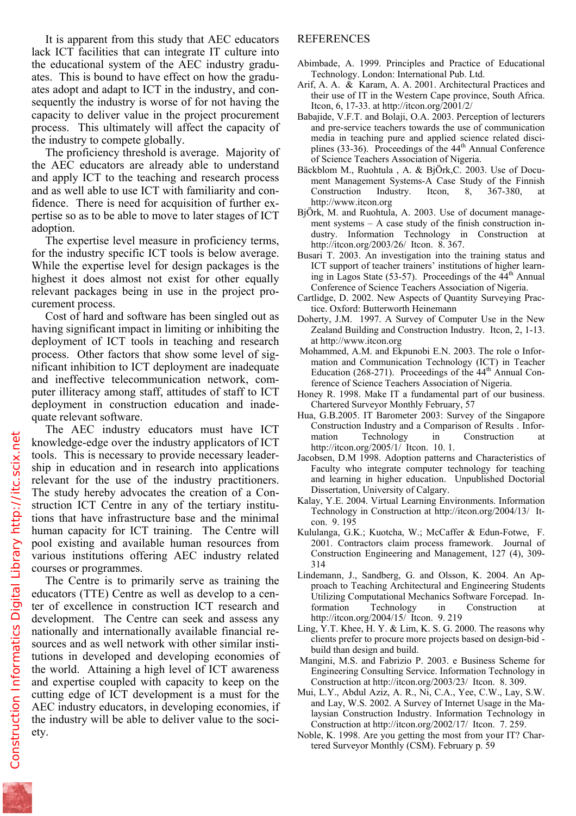lack ICT facilities that can integrate IT culture into the educational system of the AEC industry graduates. This is bound to have effect on how the graduates adopt and adapt to ICT in the industry, and consequently the industry is worse of for not having the capacity to deliver value in the project procurement process. This ultimately will affect the capacity of the industry to compete globally.

The proficiency threshold is average. Majority of the AEC educators are already able to understand and apply ICT to the teaching and research process and as well able to use ICT with familiarity and confidence. There is need for acquisition of further expertise so as to be able to move to later stages of ICT adoption.

The expertise level measure in proficiency terms, for the industry specific ICT tools is below average. While the expertise level for design packages is the highest it does almost not exist for other equally relevant packages being in use in the project procurement process.

Cost of hard and software has been singled out as having significant impact in limiting or inhibiting the deployment of ICT tools in teaching and research process. Other factors that show some level of significant inhibition to ICT deployment are inadequate and ineffective telecommunication network, computer illiteracy among staff, attitudes of staff to ICT deployment in construction education and inadequate relevant software.

The AEC industry educators must have ICT knowledge-edge over the industry applicators of ICT tools. This is necessary to provide necessary leadership in education and in research into applications relevant for the use of the industry practitioners. The study hereby advocates the creation of a Construction ICT Centre in any of the tertiary institutions that have infrastructure base and the minimal human capacity for ICT training. The Centre will pool existing and available human resources from various institutions offering AEC industry related courses or programmes.

The Centre is to primarily serve as training the educators (TTE) Centre as well as develop to a center of excellence in construction ICT research and development. The Centre can seek and assess any nationally and internationally available financial resources and as well network with other similar institutions in developed and developing economies of the world. Attaining a high level of ICT awareness and expertise coupled with capacity to keep on the cutting edge of ICT development is a must for the AEC industry educators, in developing economies, if the industry will be able to deliver value to the society.

- Abimbade, A. 1999. Principles and Practice of Educational Technology. London: International Pub. Ltd.
- Arif, A. A. & Karam, A. A. 2001. Architectural Practices and their use of IT in the Western Cape province, South Africa. Itcon, 6, 17-33. at http://itcon.org/2001/2/
- Babajide, V.F.T. and Bolaji, O.A. 2003. Perception of lecturers and pre-service teachers towards the use of communication media in teaching pure and applied science related disciplines (33-36). Proceedings of the 44<sup>th</sup> Annual Conference of Science Teachers Association of Nigeria.
- Bäckblom M., Ruohtula , A. & BjÖrk,C. 2003. Use of Document Management Systems-A Case Study of the Finnish Construction Industry. Itcon, 8, 367-380, at http://www.itcon.org
- BjÖrk, M. and Ruohtula, A. 2003. Use of document management systems – A case study of the finish construction industry. Information Technology in Construction at http://itcon.org/2003/26/ Itcon. 8. 367.
- Busari T. 2003. An investigation into the training status and ICT support of teacher trainers' institutions of higher learning in Lagos State  $(53-57)$ . Proceedings of the  $44<sup>th</sup>$  Annual Conference of Science Teachers Association of Nigeria.
- Cartlidge, D. 2002. New Aspects of Quantity Surveying Practice. Oxford: Butterworth Heinemann
- Doherty, J.M. 1997. A Survey of Computer Use in the New Zealand Building and Construction Industry. Itcon, 2, 1-13. at http://www.itcon.org
- Mohammed, A.M. and Ekpunobi E.N. 2003. The role o Information and Communication Technology (ICT) in Teacher Education (268-271). Proceedings of the  $44<sup>th</sup>$  Annual Conference of Science Teachers Association of Nigeria.
- Honey R. 1998. Make IT a fundamental part of our business. Chartered Surveyor Monthly February, 57
- Hua, G.B.2005. IT Barometer 2003: Survey of the Singapore Construction Industry and a Comparison of Results . Information Technology in Construction at http://itcon.org/2005/1/ Itcon. 10. 1.
- Jacobsen, D.M 1998. Adoption patterns and Characteristics of Faculty who integrate computer technology for teaching and learning in higher education. Unpublished Doctorial Dissertation, University of Calgary.
- Kalay, Y.E. 2004. Virtual Learning Environments. Information Technology in Construction at http://itcon.org/2004/13/ Itcon. 9. 195
- Kululanga, G.K.; Kuotcha, W.; McCaffer & Edun-Fotwe, F. 2001. Contractors claim process framework. Journal of Construction Engineering and Management, 127 (4), 309- 314
- Lindemann, J., Sandberg, G. and Olsson, K. 2004. An Approach to Teaching Architectural and Engineering Students Utilizing Computational Mechanics Software Forcepad. Information Technology in Construction at in Construction at http://itcon.org/2004/15/ Itcon. 9. 219
- Ling, Y.T. Khee, H. Y. & Lim, K. S. G. 2000. The reasons why clients prefer to procure more projects based on design-bid build than design and build.
- Mangini, M.S. and Fabrizio P. 2003. e Business Scheme for Engineering Consulting Service. Information Technology in Construction at http://itcon.org/2003/23/ Itcon. 8. 309.
- Mui, L.Y., Abdul Aziz, A. R., Ni, C.A., Yee, C.W., Lay, S.W. and Lay, W.S. 2002. A Survey of Internet Usage in the Malaysian Construction Industry. Information Technology in Construction at http://itcon.org/2002/17/ Itcon. 7. 259.
- Noble, K. 1998. Are you getting the most from your IT? Chartered Surveyor Monthly (CSM). February p. 59